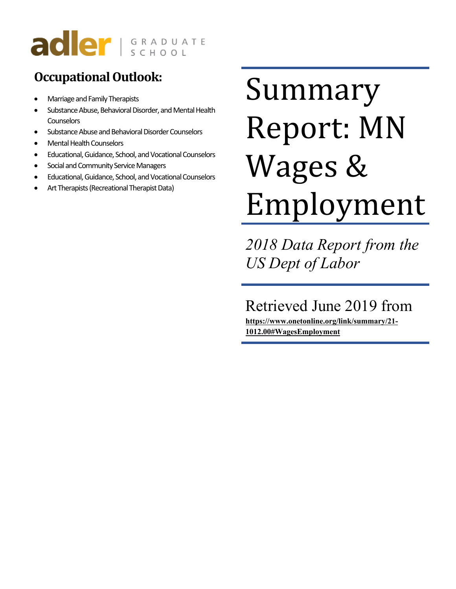# adler I GRADUATE

## **Occupational Outlook:**

- Marriage and Family Therapists
- Substance Abuse, Behavioral Disorder, and Mental Health **Counselors**
- Substance Abuse and Behavioral Disorder Counselors
- Mental Health Counselors
- Educational, Guidance, School, and Vocational Counselors
- Social and Community Service Managers
- Educational, Guidance, School, and Vocational Counselors
- Art Therapists (Recreational Therapist Data)

# Summary Report: MN Wages & Employment

*2018 Data Report from the US Dept of Labor*

## Retrieved June 2019 from

**https://www.onetonline.org/link/summary/21- 1012.00#WagesEmployment**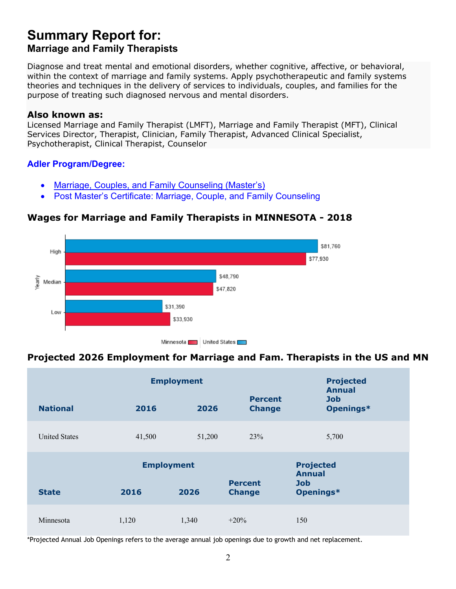## **Summary Report for: Marriage and Family Therapists**

Diagnose and treat mental and emotional disorders, whether cognitive, affective, or behavioral, within the context of marriage and family systems. Apply psychotherapeutic and family systems theories and techniques in the delivery of services to individuals, couples, and families for the purpose of treating such diagnosed nervous and mental disorders.

#### **Also known as:**

Licensed Marriage and Family Therapist (LMFT), Marriage and Family Therapist (MFT), Clinical Services Director, Therapist, Clinician, Family Therapist, Advanced Clinical Specialist, Psychotherapist, Clinical Therapist, Counselor

#### **Adler Program/Degree:**

- Marriage, Couples, and Family Counseling (Master's)
- Post Master's Certificate: Marriage, Couple, and Family Counseling

#### **Wages for Marriage and Family Therapists in MINNESOTA - 2018**



#### **Projected 2026 Employment for Marriage and Fam. Therapists in the US and MN**

|                      | <b>Employment</b> | <b>Projected</b><br><b>Annual</b> |                                 |                                   |
|----------------------|-------------------|-----------------------------------|---------------------------------|-----------------------------------|
| <b>National</b>      | 2016              | 2026                              | <b>Percent</b><br><b>Change</b> | <b>Job</b><br>Openings*           |
| <b>United States</b> | 41,500            | 51,200                            | 23%                             | 5,700                             |
|                      | <b>Employment</b> |                                   |                                 | <b>Projected</b><br><b>Annual</b> |
| <b>State</b>         | 2016              | 2026                              | <b>Percent</b><br><b>Change</b> | <b>Job</b><br>Openings*           |
| Minnesota            | 1,120             | 1,340                             | $+20%$                          | 150                               |

\*Projected Annual Job Openings refers to the average annual job openings due to growth and net replacement.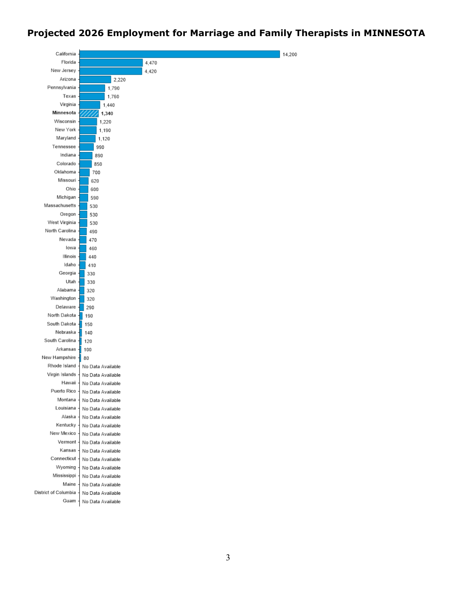#### **Projected 2026 Employment for Marriage and Family Therapists in MINNESOTA**

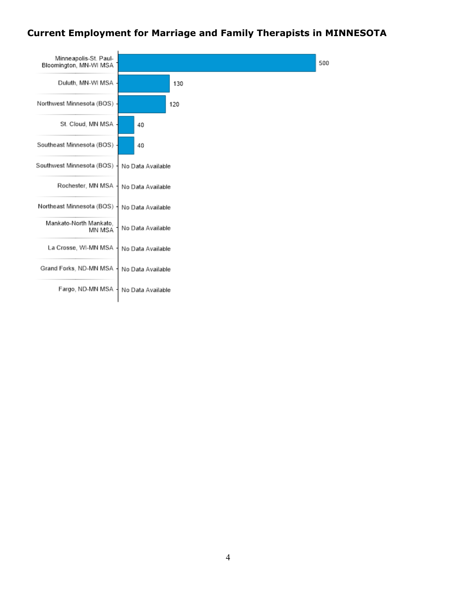#### **Current Employment for Marriage and Family Therapists in MINNESOTA**

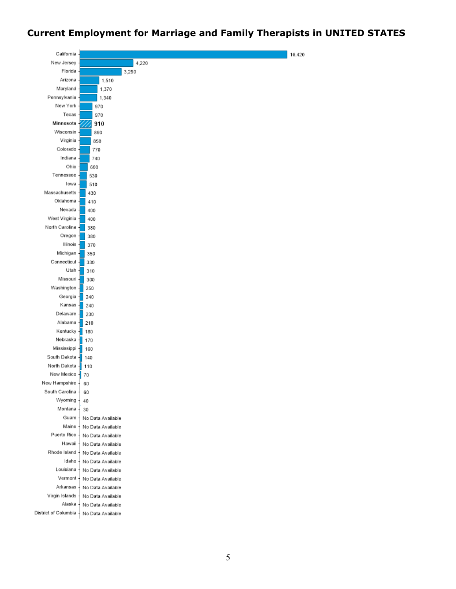#### **Current Employment for Marriage and Family Therapists in UNITED STATES**

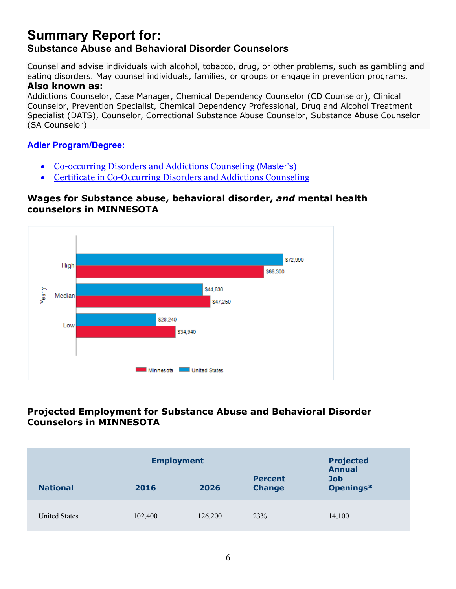## **Summary Report for: Substance Abuse and Behavioral Disorder Counselors**

Counsel and advise individuals with alcohol, tobacco, drug, or other problems, such as gambling and eating disorders. May counsel individuals, families, or groups or engage in prevention programs. **Also known as:**

#### Addictions Counselor, Case Manager, Chemical Dependency Counselor (CD Counselor), Clinical Counselor, Prevention Specialist, Chemical Dependency Professional, Drug and Alcohol Treatment Specialist (DATS), Counselor, Correctional Substance Abuse Counselor, Substance Abuse Counselor (SA Counselor)

#### **Adler Program/Degree:**

- Co-occurring Disorders and Addictions Counseling (Master's)
- Certificate in Co-Occurring Disorders and Addictions Counseling

#### **Wages for Substance abuse, behavioral disorder,** *and* **mental health counselors in MINNESOTA**



#### **Projected Employment for Substance Abuse and Behavioral Disorder Counselors in MINNESOTA**

| <b>National</b>      | <b>Employment</b><br>2026<br>2016 |         |     | <b>Projected</b><br><b>Annual</b><br><b>Job</b><br>Openings* |
|----------------------|-----------------------------------|---------|-----|--------------------------------------------------------------|
| <b>United States</b> | 102,400                           | 126,200 | 23% | 14,100                                                       |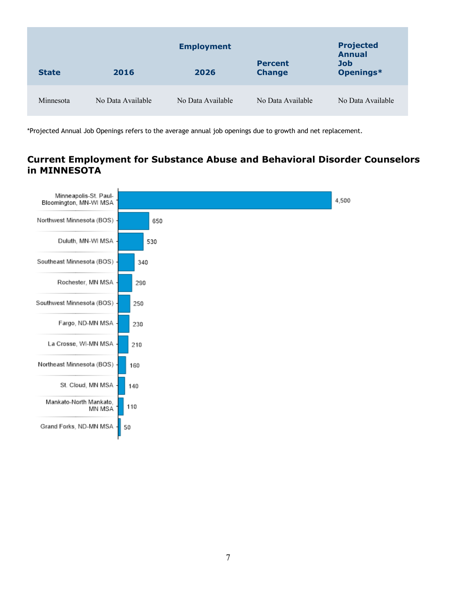| <b>State</b> | 2016              | <b>Employment</b><br>2026 | <b>Percent</b><br><b>Change</b> | <b>Projected</b><br><b>Annual</b><br><b>Job</b><br>Openings* |
|--------------|-------------------|---------------------------|---------------------------------|--------------------------------------------------------------|
| Minnesota    | No Data Available | No Data Available         | No Data Available               | No Data Available                                            |

\*Projected Annual Job Openings refers to the average annual job openings due to growth and net replacement.

#### **Current Employment for Substance Abuse and Behavioral Disorder Counselors in MINNESOTA**

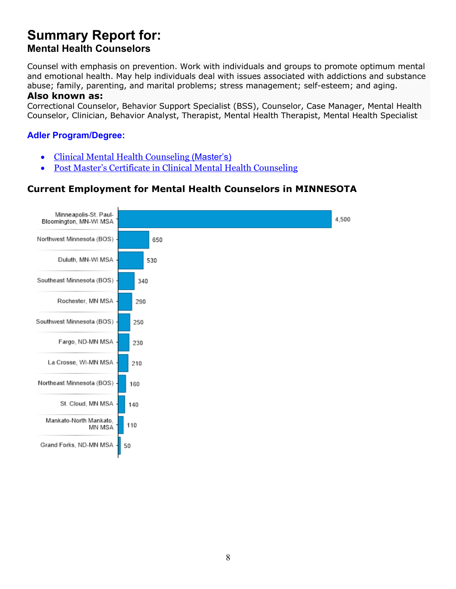## **Summary Report for: Mental Health Counselors**

Counsel with emphasis on prevention. Work with individuals and groups to promote optimum mental and emotional health. May help individuals deal with issues associated with addictions and substance abuse; family, parenting, and marital problems; stress management; self-esteem; and aging.

#### **Also known as:**

Correctional Counselor, Behavior Support Specialist (BSS), Counselor, Case Manager, Mental Health Counselor, Clinician, Behavior Analyst, Therapist, Mental Health Therapist, Mental Health Specialist

#### **Adler Program/Degree:**

- Clinical Mental Health Counseling (Master's)
- Post Master's Certificate in Clinical Mental Health Counseling

#### **Current Employment for Mental Health Counselors in MINNESOTA**

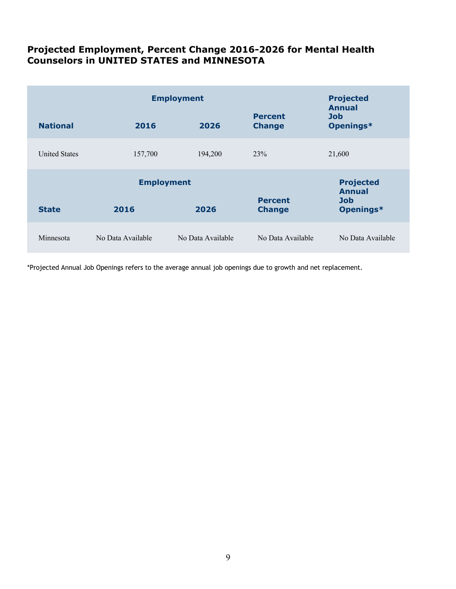#### **Projected Employment, Percent Change 2016-2026 for Mental Health Counselors in UNITED STATES and MINNESOTA**

|                      | <b>Employment</b> | <b>Projected</b><br><b>Annual</b> |                                 |                                   |
|----------------------|-------------------|-----------------------------------|---------------------------------|-----------------------------------|
| <b>National</b>      | 2016              | 2026                              | <b>Percent</b><br><b>Change</b> | <b>Job</b><br>Openings*           |
| <b>United States</b> | 157,700           | 194,200                           | 23%                             | 21,600                            |
| <b>Employment</b>    |                   |                                   |                                 | <b>Projected</b><br><b>Annual</b> |
| <b>State</b>         | 2016              | 2026                              | <b>Percent</b><br><b>Change</b> | <b>Job</b><br>Openings*           |
| Minnesota            | No Data Available | No Data Available                 | No Data Available               | No Data Available                 |

\*Projected Annual Job Openings refers to the average annual job openings due to growth and net replacement.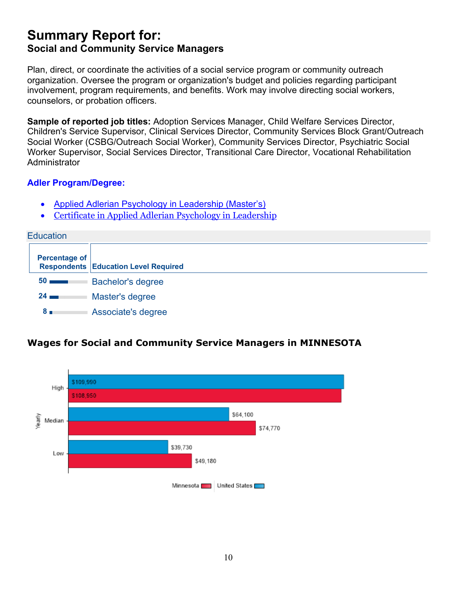## **Summary Report for: Social and Community Service Managers**

Plan, direct, or coordinate the activities of a social service program or community outreach organization. Oversee the program or organization's budget and policies regarding participant involvement, program requirements, and benefits. Work may involve directing social workers, counselors, or probation officers.

**Sample of reported job titles:** Adoption Services Manager, Child Welfare Services Director, Children's Service Supervisor, Clinical Services Director, Community Services Block Grant/Outreach Social Worker (CSBG/Outreach Social Worker), Community Services Director, Psychiatric Social Worker Supervisor, Social Services Director, Transitional Care Director, Vocational Rehabilitation **Administrator** 

#### **Adler Program/Degree:**

- Applied Adlerian Psychology in Leadership (Master's)
- Certificate in Applied Adlerian Psychology in Leadership



#### **Wages for Social and Community Service Managers in MINNESOTA**

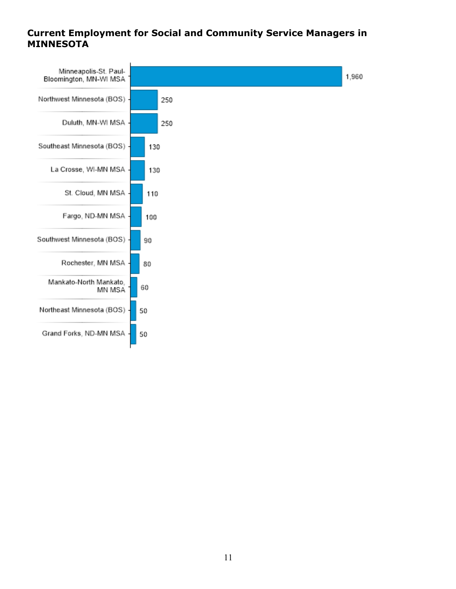#### **Current Employment for Social and Community Service Managers in MINNESOTA**

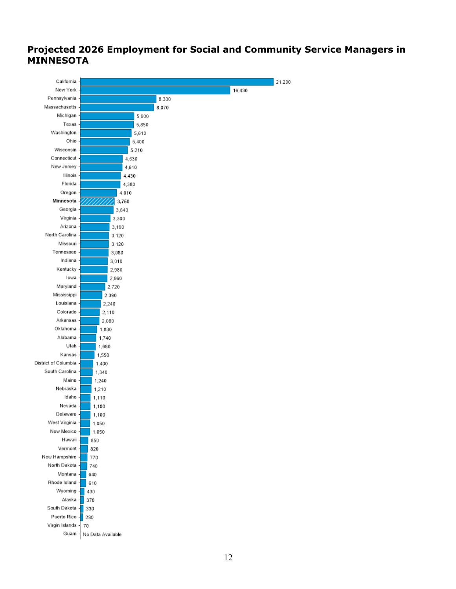#### **Projected 2026 Employment for Social and Community Service Managers in MINNESOTA**

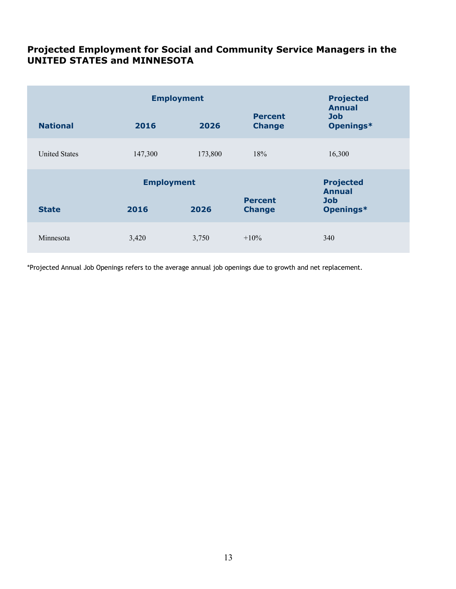#### **Projected Employment for Social and Community Service Managers in the UNITED STATES and MINNESOTA**

|                      | <b>Employment</b> |         |                                 |                                          |
|----------------------|-------------------|---------|---------------------------------|------------------------------------------|
| <b>National</b>      | 2016              | 2026    | <b>Percent</b><br><b>Change</b> | <b>Annual</b><br><b>Job</b><br>Openings* |
| <b>United States</b> | 147,300           | 173,800 | 18%                             | 16,300                                   |
| <b>Employment</b>    |                   |         |                                 | <b>Projected</b><br><b>Annual</b>        |
| <b>State</b>         | 2016              | 2026    | <b>Percent</b><br><b>Change</b> | <b>Job</b><br>Openings*                  |
| Minnesota            | 3,420             | 3,750   | $+10\%$                         | 340                                      |

\*Projected Annual Job Openings refers to the average annual job openings due to growth and net replacement.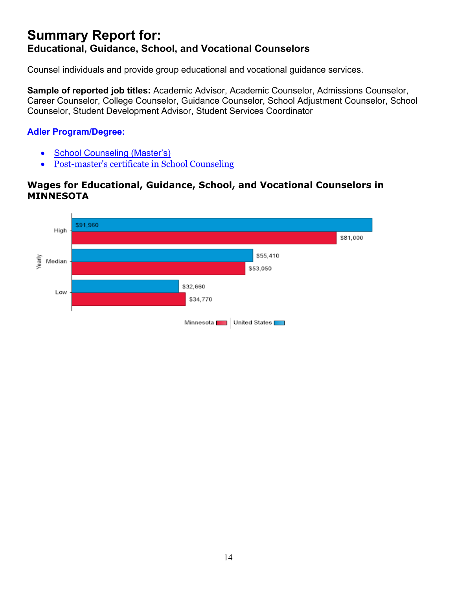## **Summary Report for: Educational, Guidance, School, and Vocational Counselors**

Counsel individuals and provide group educational and vocational guidance services.

**Sample of reported job titles:** Academic Advisor, Academic Counselor, Admissions Counselor, Career Counselor, College Counselor, Guidance Counselor, School Adjustment Counselor, School Counselor, Student Development Advisor, Student Services Coordinator

#### **Adler Program/Degree:**

- School Counseling (Master's)
- Post-master's certificate in School Counseling

#### **Wages for Educational, Guidance, School, and Vocational Counselors in MINNESOTA**

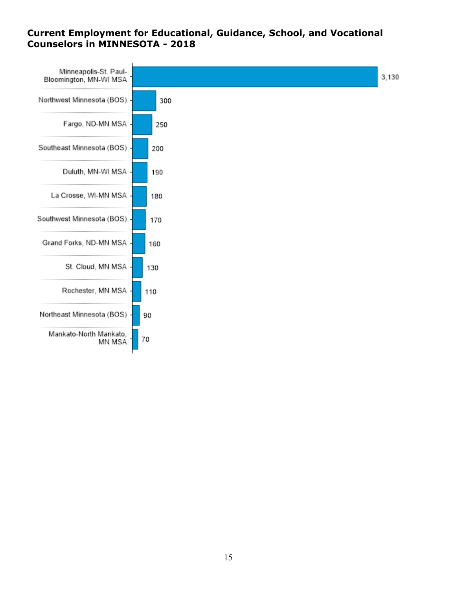#### **Current Employment for Educational, Guidance, School, and Vocational Counselors in MINNESOTA - 2018**

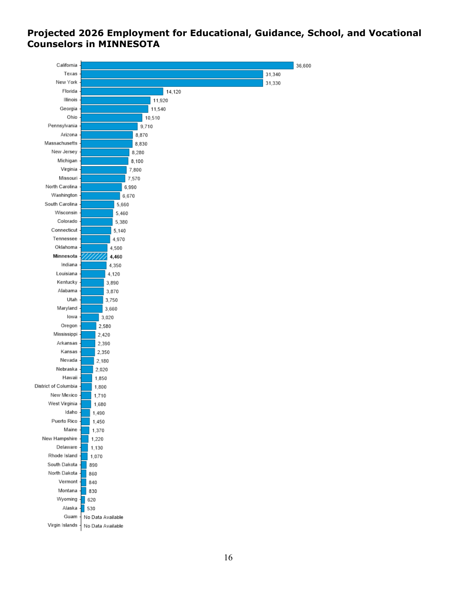#### **Projected 2026 Employment for Educational, Guidance, School, and Vocational Counselors in MINNESOTA**

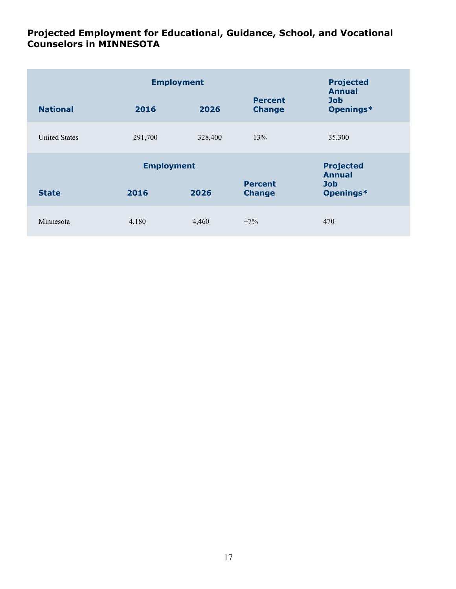#### **Projected Employment for Educational, Guidance, School, and Vocational Counselors in MINNESOTA**

|                      | <b>Employment</b> |         |                                 | <b>Projected</b><br><b>Annual</b> |
|----------------------|-------------------|---------|---------------------------------|-----------------------------------|
| <b>National</b>      | 2016              | 2026    | <b>Percent</b><br><b>Change</b> | <b>Job</b><br>Openings*           |
| <b>United States</b> | 291,700           | 328,400 | 13%                             | 35,300                            |
|                      | <b>Employment</b> |         |                                 | <b>Projected</b><br><b>Annual</b> |
| <b>State</b>         | 2016              | 2026    | <b>Percent</b><br><b>Change</b> | <b>Job</b><br>Openings*           |
| Minnesota            | 4,180             | 4,460   | $+7\%$                          | 470                               |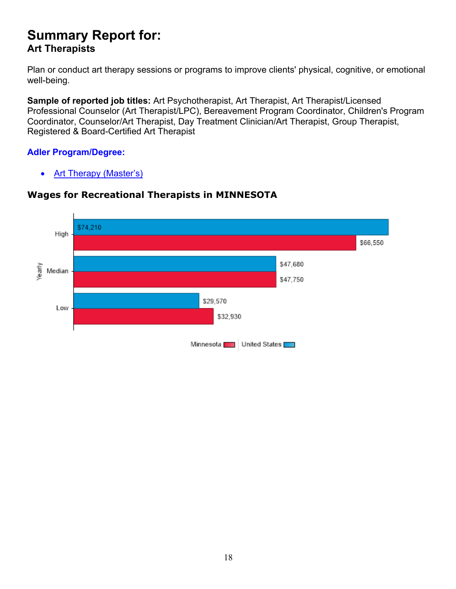## **Summary Report for: Art Therapists**

Plan or conduct art therapy sessions or programs to improve clients' physical, cognitive, or emotional well-being.

**Sample of reported job titles:** Art Psychotherapist, Art Therapist, Art Therapist/Licensed Professional Counselor (Art Therapist/LPC), Bereavement Program Coordinator, Children's Program Coordinator, Counselor/Art Therapist, Day Treatment Clinician/Art Therapist, Group Therapist, Registered & Board-Certified Art Therapist

#### **Adler Program/Degree:**

• Art Therapy (Master's)



#### **Wages for Recreational Therapists in MINNESOTA**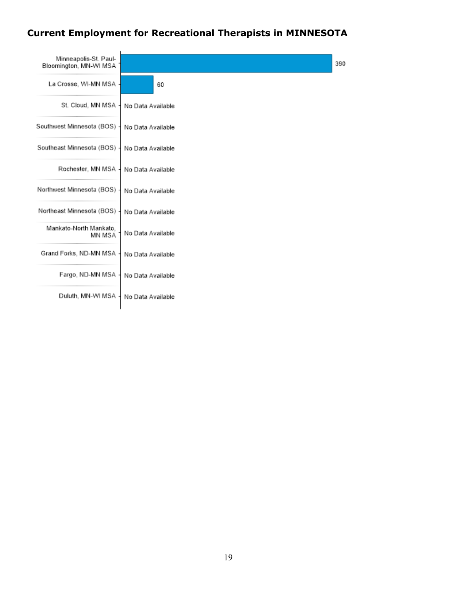## **Current Employment for Recreational Therapists in MINNESOTA**

| Minneapolis-St. Paul-<br>Bloomington, MN-WI MSA |                   | 390 |
|-------------------------------------------------|-------------------|-----|
| La Crosse, WI-MN MSA -                          | 60                |     |
| St. Cloud, MN MSA                               | No Data Available |     |
| Southwest Minnesota (BOS)                       | No Data Available |     |
| Southeast Minnesota (BOS)                       | No Data Available |     |
| Rochester, MN MSA                               | No Data Available |     |
| Northwest Minnesota (BOS)                       | No Data Available |     |
| Northeast Minnesota (BOS)                       | No Data Available |     |
| Mankato-North Mankato.<br>MN MSA                | No Data Available |     |
| Grand Forks, ND-MN MSA                          | No Data Available |     |
| Fargo, ND-MN MSA                                | No Data Available |     |
| Duluth, MN-WI MSA                               | No Data Available |     |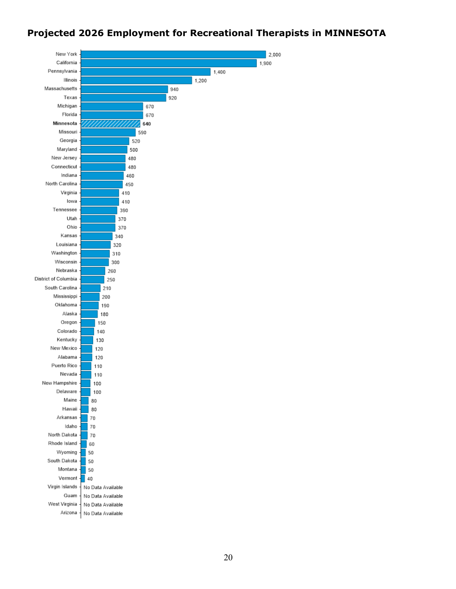#### **Projected 2026 Employment for Recreational Therapists in MINNESOTA**